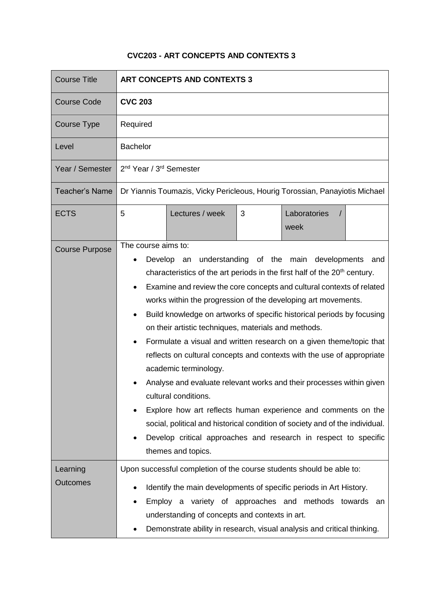## **CVC203 - ART CONCEPTS AND CONTEXTS 3**

| <b>Course Title</b>         | <b>ART CONCEPTS AND CONTEXTS 3</b>                                                                                                                                                                                                                                                                                                                                                                                                                                                                                                                                                                                                                                                                                                                                                                                                                                                                                                                                                                                                 |  |  |
|-----------------------------|------------------------------------------------------------------------------------------------------------------------------------------------------------------------------------------------------------------------------------------------------------------------------------------------------------------------------------------------------------------------------------------------------------------------------------------------------------------------------------------------------------------------------------------------------------------------------------------------------------------------------------------------------------------------------------------------------------------------------------------------------------------------------------------------------------------------------------------------------------------------------------------------------------------------------------------------------------------------------------------------------------------------------------|--|--|
| <b>Course Code</b>          | <b>CVC 203</b>                                                                                                                                                                                                                                                                                                                                                                                                                                                                                                                                                                                                                                                                                                                                                                                                                                                                                                                                                                                                                     |  |  |
| <b>Course Type</b>          | Required                                                                                                                                                                                                                                                                                                                                                                                                                                                                                                                                                                                                                                                                                                                                                                                                                                                                                                                                                                                                                           |  |  |
| Level                       | <b>Bachelor</b>                                                                                                                                                                                                                                                                                                                                                                                                                                                                                                                                                                                                                                                                                                                                                                                                                                                                                                                                                                                                                    |  |  |
| Year / Semester             | 2 <sup>nd</sup> Year / 3 <sup>rd</sup> Semester                                                                                                                                                                                                                                                                                                                                                                                                                                                                                                                                                                                                                                                                                                                                                                                                                                                                                                                                                                                    |  |  |
| <b>Teacher's Name</b>       | Dr Yiannis Toumazis, Vicky Pericleous, Hourig Torossian, Panayiotis Michael                                                                                                                                                                                                                                                                                                                                                                                                                                                                                                                                                                                                                                                                                                                                                                                                                                                                                                                                                        |  |  |
| <b>ECTS</b>                 | Laboratories<br>5<br>Lectures / week<br>3<br>week                                                                                                                                                                                                                                                                                                                                                                                                                                                                                                                                                                                                                                                                                                                                                                                                                                                                                                                                                                                  |  |  |
| <b>Course Purpose</b>       | The course aims to:<br>understanding of the main developments<br>Develop<br>and<br>an<br>characteristics of the art periods in the first half of the 20 <sup>th</sup> century.<br>Examine and review the core concepts and cultural contexts of related<br>$\bullet$<br>works within the progression of the developing art movements.<br>Build knowledge on artworks of specific historical periods by focusing<br>$\bullet$<br>on their artistic techniques, materials and methods.<br>Formulate a visual and written research on a given theme/topic that<br>reflects on cultural concepts and contexts with the use of appropriate<br>academic terminology.<br>Analyse and evaluate relevant works and their processes within given<br>cultural conditions.<br>Explore how art reflects human experience and comments on the<br>$\bullet$<br>social, political and historical condition of society and of the individual.<br>Develop critical approaches and research in respect to specific<br>$\bullet$<br>themes and topics. |  |  |
| Learning<br><b>Outcomes</b> | Upon successful completion of the course students should be able to:<br>Identify the main developments of specific periods in Art History.<br>٠<br>Employ a variety of approaches and methods towards<br>an<br>$\bullet$<br>understanding of concepts and contexts in art.<br>Demonstrate ability in research, visual analysis and critical thinking.                                                                                                                                                                                                                                                                                                                                                                                                                                                                                                                                                                                                                                                                              |  |  |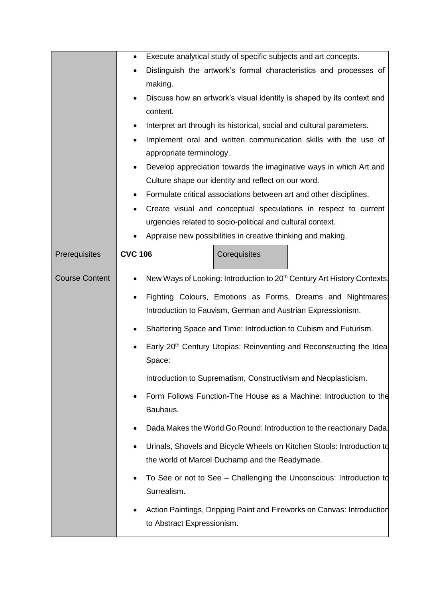|                       | Execute analytical study of specific subjects and art concepts.<br>$\bullet$                                                                             |                                                             |                                                                                     |
|-----------------------|----------------------------------------------------------------------------------------------------------------------------------------------------------|-------------------------------------------------------------|-------------------------------------------------------------------------------------|
|                       | Distinguish the artwork's formal characteristics and processes of                                                                                        |                                                             |                                                                                     |
|                       | making.                                                                                                                                                  |                                                             |                                                                                     |
|                       |                                                                                                                                                          |                                                             | Discuss how an artwork's visual identity is shaped by its context and               |
|                       | content.                                                                                                                                                 |                                                             |                                                                                     |
|                       | $\bullet$                                                                                                                                                |                                                             | Interpret art through its historical, social and cultural parameters.               |
|                       | ٠                                                                                                                                                        |                                                             | Implement oral and written communication skills with the use of                     |
|                       | appropriate terminology.                                                                                                                                 |                                                             |                                                                                     |
|                       | $\bullet$                                                                                                                                                |                                                             | Develop appreciation towards the imaginative ways in which Art and                  |
|                       |                                                                                                                                                          | Culture shape our identity and reflect on our word.         |                                                                                     |
|                       | $\bullet$                                                                                                                                                |                                                             | Formulate critical associations between art and other disciplines.                  |
|                       |                                                                                                                                                          |                                                             | Create visual and conceptual speculations in respect to current                     |
|                       |                                                                                                                                                          | urgencies related to socio-political and cultural context.  |                                                                                     |
|                       |                                                                                                                                                          | Appraise new possibilities in creative thinking and making. |                                                                                     |
| Prerequisites         | <b>CVC 106</b>                                                                                                                                           | Corequisites                                                |                                                                                     |
| <b>Course Content</b> | $\bullet$                                                                                                                                                |                                                             | New Ways of Looking: Introduction to 20 <sup>th</sup> Century Art History Contexts. |
|                       | Fighting Colours, Emotions as Forms, Dreams and Nightmares:<br>٠                                                                                         |                                                             |                                                                                     |
|                       | Introduction to Fauvism, German and Austrian Expressionism.                                                                                              |                                                             |                                                                                     |
|                       | Shattering Space and Time: Introduction to Cubism and Futurism.<br>٠<br>Early 20 <sup>th</sup> Century Utopias: Reinventing and Reconstructing the Ideal |                                                             |                                                                                     |
|                       |                                                                                                                                                          |                                                             |                                                                                     |
|                       | Space:                                                                                                                                                   |                                                             |                                                                                     |
|                       |                                                                                                                                                          |                                                             | Introduction to Suprematism, Constructivism and Neoplasticism.                      |
|                       | Form Follows Function-The House as a Machine: Introduction to the<br>٠                                                                                   |                                                             |                                                                                     |
|                       | Bauhaus.                                                                                                                                                 |                                                             |                                                                                     |
|                       |                                                                                                                                                          |                                                             | Dada Makes the World Go Round: Introduction to the reactionary Dada.                |
|                       | $\bullet$                                                                                                                                                |                                                             | Urinals, Shovels and Bicycle Wheels on Kitchen Stools: Introduction to              |
|                       |                                                                                                                                                          | the world of Marcel Duchamp and the Readymade.              |                                                                                     |
|                       | $\bullet$                                                                                                                                                |                                                             | To See or not to See - Challenging the Unconscious: Introduction to                 |
|                       | Surrealism.                                                                                                                                              |                                                             |                                                                                     |
|                       |                                                                                                                                                          |                                                             |                                                                                     |
|                       | Action Paintings, Dripping Paint and Fireworks on Canvas: Introduction<br>$\bullet$                                                                      |                                                             |                                                                                     |
|                       | to Abstract Expressionism.                                                                                                                               |                                                             |                                                                                     |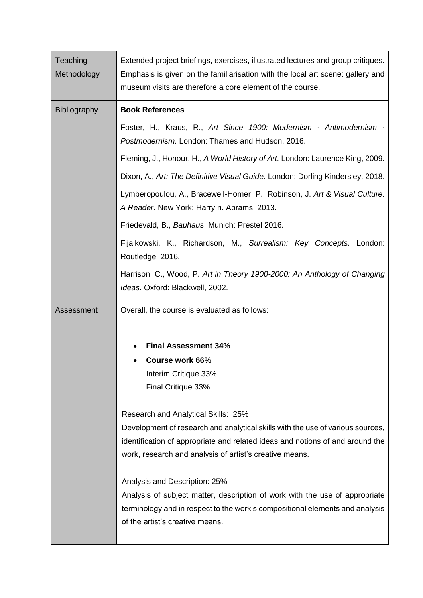| Teaching            | Extended project briefings, exercises, illustrated lectures and group critiques.                                                            |
|---------------------|---------------------------------------------------------------------------------------------------------------------------------------------|
| Methodology         | Emphasis is given on the familiarisation with the local art scene: gallery and<br>museum visits are therefore a core element of the course. |
|                     |                                                                                                                                             |
| <b>Bibliography</b> | <b>Book References</b>                                                                                                                      |
|                     | Foster, H., Kraus, R., Art Since 1900: Modernism · Antimodernism ·<br>Postmodernism. London: Thames and Hudson, 2016.                       |
|                     | Fleming, J., Honour, H., A World History of Art. London: Laurence King, 2009.                                                               |
|                     | Dixon, A., Art: The Definitive Visual Guide. London: Dorling Kindersley, 2018.                                                              |
|                     | Lymberopoulou, A., Bracewell-Homer, P., Robinson, J. Art & Visual Culture:<br>A Reader. New York: Harry n. Abrams, 2013.                    |
|                     | Friedevald, B., Bauhaus. Munich: Prestel 2016.                                                                                              |
|                     | Fijalkowski, K., Richardson, M., Surrealism: Key Concepts. London:<br>Routledge, 2016.                                                      |
|                     | Harrison, C., Wood, P. Art in Theory 1900-2000: An Anthology of Changing<br>Ideas. Oxford: Blackwell, 2002.                                 |
| Assessment          | Overall, the course is evaluated as follows:                                                                                                |
|                     |                                                                                                                                             |
|                     | <b>Final Assessment 34%</b>                                                                                                                 |
|                     | Course work 66%                                                                                                                             |
|                     | Interim Critique 33%                                                                                                                        |
|                     | Final Critique 33%                                                                                                                          |
|                     | Research and Analytical Skills: 25%                                                                                                         |
|                     | Development of research and analytical skills with the use of various sources,                                                              |
|                     | identification of appropriate and related ideas and notions of and around the                                                               |
|                     | work, research and analysis of artist's creative means.                                                                                     |
|                     | Analysis and Description: 25%                                                                                                               |
|                     | Analysis of subject matter, description of work with the use of appropriate                                                                 |
|                     | terminology and in respect to the work's compositional elements and analysis<br>of the artist's creative means.                             |
|                     |                                                                                                                                             |